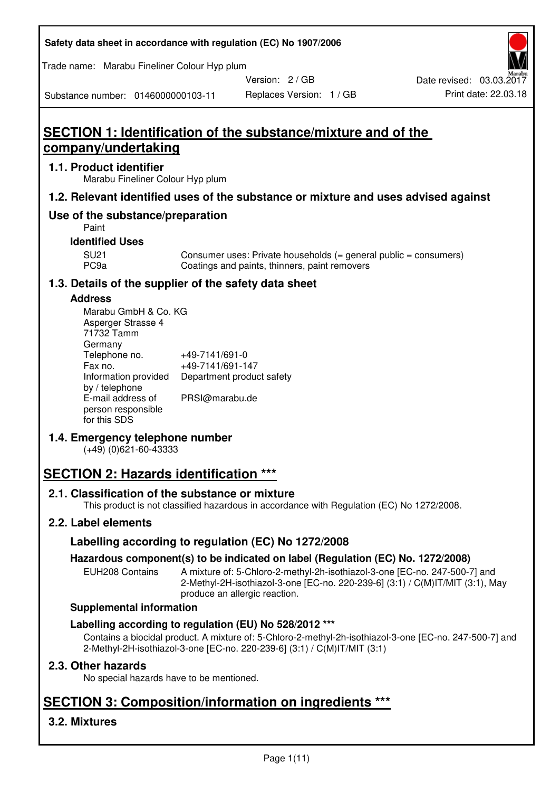| Safety data sheet in accordance with regulation (EC) No 1907/2006 |  |
|-------------------------------------------------------------------|--|
|-------------------------------------------------------------------|--|

Trade name: Marabu Fineliner Colour Hyp plum

Version: 2 / GB

Replaces Version: 1 / GB Print date: 22.03.18 Date revised: 03.03.2017

Substance number: 0146000000103-11

# **SECTION 1: Identification of the substance/mixture and of the company/undertaking**

## **1.1. Product identifier**

Marabu Fineliner Colour Hyp plum

## **1.2. Relevant identified uses of the substance or mixture and uses advised against**

## **Use of the substance/preparation**

Paint

## **Identified Uses**

SU21 Consumer uses: Private households (= general public = consumers)<br>PC9a Coatings and paints, thinners, paint removers Coatings and paints, thinners, paint removers

## **1.3. Details of the supplier of the safety data sheet**

## **Address**

| Marabu GmbH & Co. KG |                           |
|----------------------|---------------------------|
| Asperger Strasse 4   |                           |
| 71732 Tamm           |                           |
| Germany              |                           |
| Telephone no.        | +49-7141/691-0            |
| Fax no.              | +49-7141/691-147          |
| Information provided | Department product safety |
| by / telephone       |                           |
| E-mail address of    | PRSI@marabu.de            |
| person responsible   |                           |
| for this SDS         |                           |

## **1.4. Emergency telephone number**

(+49) (0)621-60-43333

# **SECTION 2: Hazards identification \*\*\***

## **2.1. Classification of the substance or mixture**

This product is not classified hazardous in accordance with Regulation (EC) No 1272/2008.

## **2.2. Label elements**

## **Labelling according to regulation (EC) No 1272/2008**

## **Hazardous component(s) to be indicated on label (Regulation (EC) No. 1272/2008)**

EUH208 Contains A mixture of: 5-Chloro-2-methyl-2h-isothiazol-3-one [EC-no. 247-500-7] and 2-Methyl-2H-isothiazol-3-one [EC-no. 220-239-6] (3:1) / C(M)IT/MIT (3:1), May produce an allergic reaction.

#### **Supplemental information**

## **Labelling according to regulation (EU) No 528/2012 \*\*\***

Contains a biocidal product. A mixture of: 5-Chloro-2-methyl-2h-isothiazol-3-one [EC-no. 247-500-7] and 2-Methyl-2H-isothiazol-3-one [EC-no. 220-239-6] (3:1) / C(M)IT/MIT (3:1)

## **2.3. Other hazards**

No special hazards have to be mentioned.

# **SECTION 3: Composition/information on ingredients \*\*\***

## **3.2. Mixtures**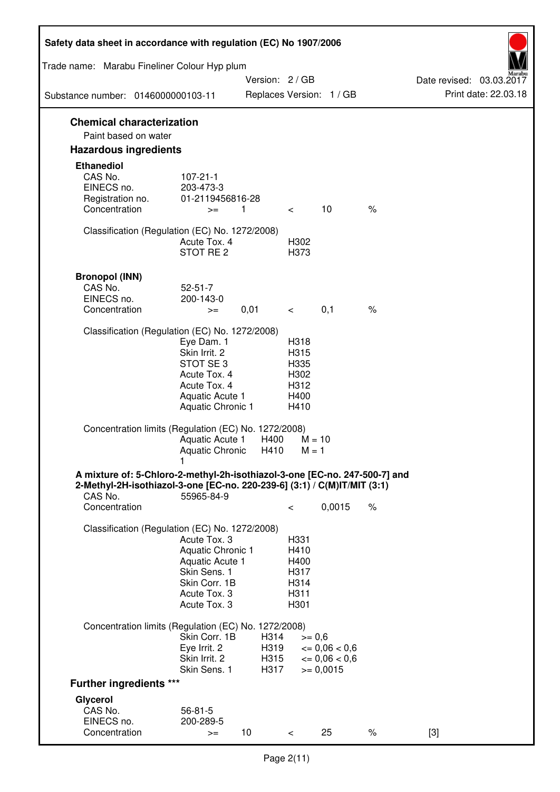| Safety data sheet in accordance with regulation (EC) No 1907/2006                                                                                                 |                                                                                                                             |                              |                                                      |                                                         |      |                                                  |
|-------------------------------------------------------------------------------------------------------------------------------------------------------------------|-----------------------------------------------------------------------------------------------------------------------------|------------------------------|------------------------------------------------------|---------------------------------------------------------|------|--------------------------------------------------|
| Trade name: Marabu Fineliner Colour Hyp plum                                                                                                                      |                                                                                                                             |                              |                                                      |                                                         |      |                                                  |
| Substance number: 0146000000103-11                                                                                                                                |                                                                                                                             | Version: 2 / GB              |                                                      | Replaces Version: 1 / GB                                |      | Date revised: 03.03.2017<br>Print date: 22.03.18 |
| <b>Chemical characterization</b>                                                                                                                                  |                                                                                                                             |                              |                                                      |                                                         |      |                                                  |
| Paint based on water<br><b>Hazardous ingredients</b>                                                                                                              |                                                                                                                             |                              |                                                      |                                                         |      |                                                  |
| <b>Ethanediol</b>                                                                                                                                                 |                                                                                                                             |                              |                                                      |                                                         |      |                                                  |
| CAS No.<br>EINECS no.<br>Registration no.                                                                                                                         | $107 - 21 - 1$<br>203-473-3<br>01-2119456816-28                                                                             |                              |                                                      |                                                         |      |                                                  |
| Concentration                                                                                                                                                     | $>=$                                                                                                                        | 1                            | $\lt$                                                | 10                                                      | $\%$ |                                                  |
| Classification (Regulation (EC) No. 1272/2008)                                                                                                                    | Acute Tox, 4<br>STOT RE <sub>2</sub>                                                                                        |                              | H302<br>H373                                         |                                                         |      |                                                  |
| <b>Bronopol (INN)</b>                                                                                                                                             |                                                                                                                             |                              |                                                      |                                                         |      |                                                  |
| CAS No.                                                                                                                                                           | $52 - 51 - 7$                                                                                                               |                              |                                                      |                                                         |      |                                                  |
| EINECS no.<br>Concentration                                                                                                                                       | 200-143-0<br>$>=$                                                                                                           | 0,01                         | $\lt$                                                | 0,1                                                     | $\%$ |                                                  |
|                                                                                                                                                                   |                                                                                                                             |                              |                                                      |                                                         |      |                                                  |
| Classification (Regulation (EC) No. 1272/2008)                                                                                                                    | Eye Dam. 1<br>Skin Irrit. 2<br>STOT SE <sub>3</sub><br>Acute Tox. 4<br>Acute Tox. 4<br>Aquatic Acute 1<br>Aquatic Chronic 1 |                              | H318<br>H315<br>H335<br>H302<br>H312<br>H400<br>H410 |                                                         |      |                                                  |
| Concentration limits (Regulation (EC) No. 1272/2008)                                                                                                              | Aquatic Acute 1<br><b>Aquatic Chronic</b><br>1                                                                              | H400<br>H410                 | $M = 10$<br>$M = 1$                                  |                                                         |      |                                                  |
| A mixture of: 5-Chloro-2-methyl-2h-isothiazol-3-one [EC-no. 247-500-7] and<br>2-Methyl-2H-isothiazol-3-one [EC-no. 220-239-6] (3:1) / C(M)IT/MIT (3:1)<br>CAS No. | 55965-84-9                                                                                                                  |                              |                                                      |                                                         |      |                                                  |
| Concentration                                                                                                                                                     |                                                                                                                             |                              | $\,<\,$                                              | 0,0015                                                  | $\%$ |                                                  |
| Classification (Regulation (EC) No. 1272/2008)                                                                                                                    | Acute Tox. 3<br>Aquatic Chronic 1<br>Aquatic Acute 1<br>Skin Sens. 1<br>Skin Corr. 1B<br>Acute Tox. 3<br>Acute Tox. 3       |                              | H331<br>H410<br>H400<br>H317<br>H314<br>H311<br>H301 |                                                         |      |                                                  |
| Concentration limits (Regulation (EC) No. 1272/2008)                                                                                                              |                                                                                                                             |                              |                                                      |                                                         |      |                                                  |
|                                                                                                                                                                   | Skin Corr. 1B<br>Eye Irrit. 2<br>Skin Irrit. 2<br>Skin Sens. 1                                                              | H314<br>H319<br>H315<br>H317 | $>= 0,6$                                             | $= 0,06 < 0,6$<br>$\epsilon = 0.06 < 0.6$<br>$= 0,0015$ |      |                                                  |
| <b>Further ingredients ***</b>                                                                                                                                    |                                                                                                                             |                              |                                                      |                                                         |      |                                                  |
| Glycerol                                                                                                                                                          |                                                                                                                             |                              |                                                      |                                                         |      |                                                  |
| CAS No.                                                                                                                                                           | $56 - 81 - 5$                                                                                                               |                              |                                                      |                                                         |      |                                                  |
| EINECS no.<br>Concentration                                                                                                                                       | 200-289-5<br>$>=$                                                                                                           | 10                           | $\,<\,$                                              | 25                                                      | $\%$ | $[3]$                                            |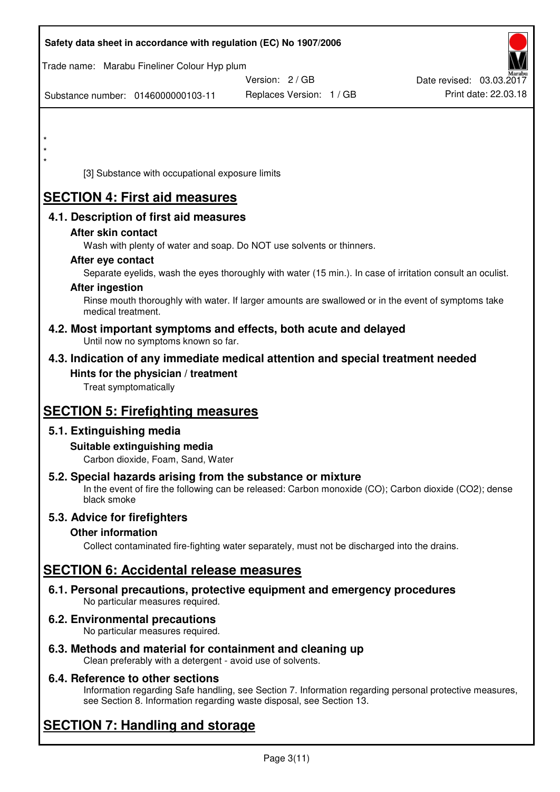|         |                          |                                                                    | Safety data sheet in accordance with regulation (EC) No 1907/2006                                                                                                   |                          |
|---------|--------------------------|--------------------------------------------------------------------|---------------------------------------------------------------------------------------------------------------------------------------------------------------------|--------------------------|
|         |                          | Trade name: Marabu Fineliner Colour Hyp plum                       | Version: 2/GB                                                                                                                                                       | Date revised: 03.03.2017 |
|         |                          | Substance number: 0146000000103-11                                 | Replaces Version: 1 / GB                                                                                                                                            | Print date: 22.03.18     |
|         |                          |                                                                    |                                                                                                                                                                     |                          |
| $\star$ |                          |                                                                    |                                                                                                                                                                     |                          |
|         |                          |                                                                    |                                                                                                                                                                     |                          |
|         |                          | [3] Substance with occupational exposure limits                    |                                                                                                                                                                     |                          |
|         |                          | <b>SECTION 4: First aid measures</b>                               |                                                                                                                                                                     |                          |
|         |                          | 4.1. Description of first aid measures                             |                                                                                                                                                                     |                          |
|         | After skin contact       |                                                                    |                                                                                                                                                                     |                          |
|         |                          |                                                                    | Wash with plenty of water and soap. Do NOT use solvents or thinners.                                                                                                |                          |
|         | After eye contact        |                                                                    | Separate eyelids, wash the eyes thoroughly with water (15 min.). In case of irritation consult an oculist.                                                          |                          |
|         | <b>After ingestion</b>   |                                                                    |                                                                                                                                                                     |                          |
|         | medical treatment.       |                                                                    | Rinse mouth thoroughly with water. If larger amounts are swallowed or in the event of symptoms take                                                                 |                          |
|         |                          | Until now no symptoms known so far.                                | 4.2. Most important symptoms and effects, both acute and delayed                                                                                                    |                          |
|         |                          |                                                                    | 4.3. Indication of any immediate medical attention and special treatment needed                                                                                     |                          |
|         | Treat symptomatically    | Hints for the physician / treatment                                |                                                                                                                                                                     |                          |
|         |                          | <b>SECTION 5: Firefighting measures</b>                            |                                                                                                                                                                     |                          |
|         | 5.1. Extinguishing media |                                                                    |                                                                                                                                                                     |                          |
|         |                          | Suitable extinguishing media<br>Carbon dioxide, Foam, Sand, Water  |                                                                                                                                                                     |                          |
|         | black smoke              |                                                                    | 5.2. Special hazards arising from the substance or mixture<br>In the event of fire the following can be released: Carbon monoxide (CO); Carbon dioxide (CO2); dense |                          |
|         |                          | 5.3. Advice for firefighters                                       |                                                                                                                                                                     |                          |
|         | <b>Other information</b> |                                                                    |                                                                                                                                                                     |                          |
|         |                          |                                                                    | Collect contaminated fire-fighting water separately, must not be discharged into the drains.                                                                        |                          |
|         |                          | <b>SECTION 6: Accidental release measures</b>                      |                                                                                                                                                                     |                          |
|         |                          | No particular measures required.                                   | 6.1. Personal precautions, protective equipment and emergency procedures                                                                                            |                          |
|         |                          | 6.2. Environmental precautions<br>No particular measures required. |                                                                                                                                                                     |                          |
|         |                          | Clean preferably with a detergent - avoid use of solvents.         | 6.3. Methods and material for containment and cleaning up                                                                                                           |                          |

## **6.4. Reference to other sections**

Information regarding Safe handling, see Section 7. Information regarding personal protective measures, see Section 8. Information regarding waste disposal, see Section 13.

# **SECTION 7: Handling and storage**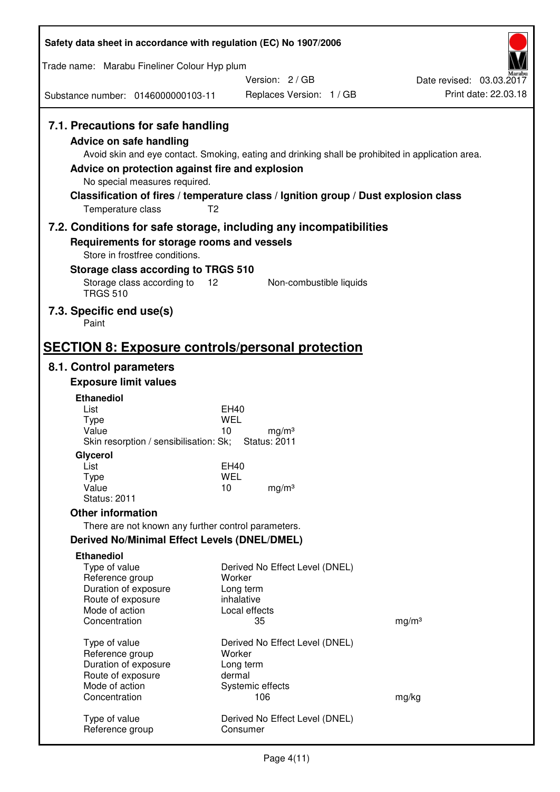| Safety data sheet in accordance with regulation (EC) No 1907/2006                                                                                                                                                                                                                                                                                                  |                         |                                           |  |                                                  |
|--------------------------------------------------------------------------------------------------------------------------------------------------------------------------------------------------------------------------------------------------------------------------------------------------------------------------------------------------------------------|-------------------------|-------------------------------------------|--|--------------------------------------------------|
| Trade name: Marabu Fineliner Colour Hyp plum                                                                                                                                                                                                                                                                                                                       |                         |                                           |  |                                                  |
| Substance number: 0146000000103-11                                                                                                                                                                                                                                                                                                                                 |                         | Version: 2/GB<br>Replaces Version: 1 / GB |  | Date revised: 03.03.2017<br>Print date: 22.03.18 |
|                                                                                                                                                                                                                                                                                                                                                                    |                         |                                           |  |                                                  |
| 7.1. Precautions for safe handling<br>Advice on safe handling<br>Avoid skin and eye contact. Smoking, eating and drinking shall be prohibited in application area.<br>Advice on protection against fire and explosion<br>No special measures required.<br>Classification of fires / temperature class / Ignition group / Dust explosion class<br>Temperature class | T <sub>2</sub>          |                                           |  |                                                  |
| 7.2. Conditions for safe storage, including any incompatibilities<br>Requirements for storage rooms and vessels                                                                                                                                                                                                                                                    |                         |                                           |  |                                                  |
| Store in frostfree conditions.                                                                                                                                                                                                                                                                                                                                     |                         |                                           |  |                                                  |
| Storage class according to TRGS 510                                                                                                                                                                                                                                                                                                                                |                         |                                           |  |                                                  |
| Storage class according to<br><b>TRGS 510</b>                                                                                                                                                                                                                                                                                                                      | 12                      | Non-combustible liquids                   |  |                                                  |
| 7.3. Specific end use(s)<br>Paint                                                                                                                                                                                                                                                                                                                                  |                         |                                           |  |                                                  |
| <b>SECTION 8: Exposure controls/personal protection</b>                                                                                                                                                                                                                                                                                                            |                         |                                           |  |                                                  |
| 8.1. Control parameters                                                                                                                                                                                                                                                                                                                                            |                         |                                           |  |                                                  |
| <b>Exposure limit values</b>                                                                                                                                                                                                                                                                                                                                       |                         |                                           |  |                                                  |
| <b>Ethanediol</b>                                                                                                                                                                                                                                                                                                                                                  |                         |                                           |  |                                                  |
| List<br><b>Type</b>                                                                                                                                                                                                                                                                                                                                                | EH40<br><b>WEL</b>      |                                           |  |                                                  |
| Value                                                                                                                                                                                                                                                                                                                                                              | 10                      | mg/m <sup>3</sup>                         |  |                                                  |
| Skin resorption / sensibilisation: Sk;<br>Glycerol                                                                                                                                                                                                                                                                                                                 | <b>Status: 2011</b>     |                                           |  |                                                  |
| List                                                                                                                                                                                                                                                                                                                                                               | <b>EH40</b>             |                                           |  |                                                  |
| <b>Type</b>                                                                                                                                                                                                                                                                                                                                                        | <b>WEL</b>              |                                           |  |                                                  |
| Value<br><b>Status: 2011</b>                                                                                                                                                                                                                                                                                                                                       | 10                      | mg/m <sup>3</sup>                         |  |                                                  |
| <b>Other information</b>                                                                                                                                                                                                                                                                                                                                           |                         |                                           |  |                                                  |
| There are not known any further control parameters.                                                                                                                                                                                                                                                                                                                |                         |                                           |  |                                                  |
| <b>Derived No/Minimal Effect Levels (DNEL/DMEL)</b>                                                                                                                                                                                                                                                                                                                |                         |                                           |  |                                                  |
| <b>Ethanediol</b>                                                                                                                                                                                                                                                                                                                                                  |                         |                                           |  |                                                  |
| Type of value<br>Reference group                                                                                                                                                                                                                                                                                                                                   | Worker                  | Derived No Effect Level (DNEL)            |  |                                                  |
| Duration of exposure                                                                                                                                                                                                                                                                                                                                               | Long term               |                                           |  |                                                  |
| Route of exposure                                                                                                                                                                                                                                                                                                                                                  | inhalative              |                                           |  |                                                  |
| Mode of action<br>Concentration                                                                                                                                                                                                                                                                                                                                    | Local effects<br>35     |                                           |  | mg/m <sup>3</sup>                                |
|                                                                                                                                                                                                                                                                                                                                                                    |                         |                                           |  |                                                  |
| Type of value<br>Reference group                                                                                                                                                                                                                                                                                                                                   | Worker                  | Derived No Effect Level (DNEL)            |  |                                                  |
| Duration of exposure                                                                                                                                                                                                                                                                                                                                               | Long term               |                                           |  |                                                  |
| Route of exposure                                                                                                                                                                                                                                                                                                                                                  | dermal                  |                                           |  |                                                  |
| Mode of action<br>Concentration                                                                                                                                                                                                                                                                                                                                    | Systemic effects<br>106 |                                           |  | mg/kg                                            |
|                                                                                                                                                                                                                                                                                                                                                                    |                         |                                           |  |                                                  |
| Type of value<br>Reference group                                                                                                                                                                                                                                                                                                                                   | Consumer                | Derived No Effect Level (DNEL)            |  |                                                  |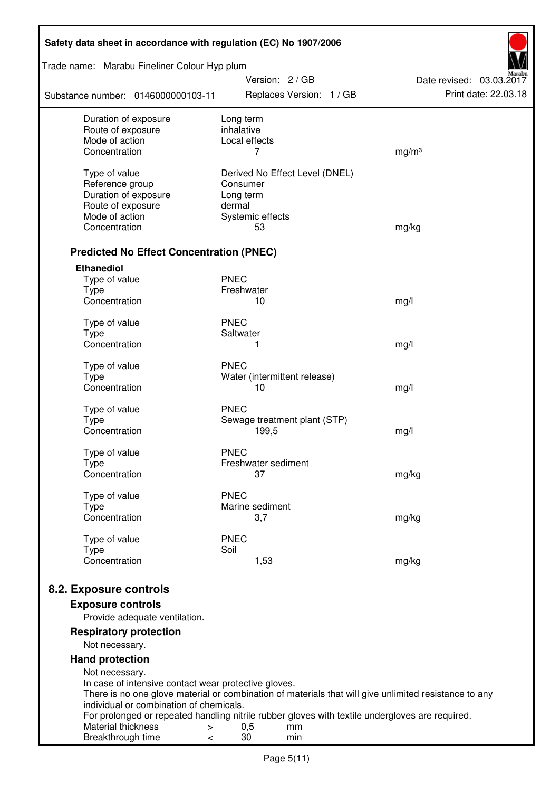| Safety data sheet in accordance with regulation (EC) No 1907/2006      |                                                                                                       |                                                  |  |  |
|------------------------------------------------------------------------|-------------------------------------------------------------------------------------------------------|--------------------------------------------------|--|--|
| Trade name: Marabu Fineliner Colour Hyp plum                           | Version: 2 / GB                                                                                       |                                                  |  |  |
| Substance number: 0146000000103-11                                     | Replaces Version: 1 / GB                                                                              | Date revised: 03.03.2017<br>Print date: 22.03.18 |  |  |
| Duration of exposure                                                   | Long term<br>inhalative                                                                               |                                                  |  |  |
| Route of exposure<br>Mode of action                                    | Local effects                                                                                         |                                                  |  |  |
| Concentration                                                          | 7                                                                                                     | mg/m <sup>3</sup>                                |  |  |
| Type of value                                                          | Derived No Effect Level (DNEL)                                                                        |                                                  |  |  |
| Reference group                                                        | Consumer                                                                                              |                                                  |  |  |
| Duration of exposure                                                   | Long term                                                                                             |                                                  |  |  |
| Route of exposure                                                      | dermal                                                                                                |                                                  |  |  |
| Mode of action                                                         | Systemic effects                                                                                      |                                                  |  |  |
| Concentration                                                          | 53                                                                                                    | mg/kg                                            |  |  |
| <b>Predicted No Effect Concentration (PNEC)</b>                        |                                                                                                       |                                                  |  |  |
| <b>Ethanediol</b>                                                      |                                                                                                       |                                                  |  |  |
| Type of value                                                          | <b>PNEC</b>                                                                                           |                                                  |  |  |
| <b>Type</b>                                                            | Freshwater                                                                                            |                                                  |  |  |
| Concentration                                                          | 10                                                                                                    | mg/l                                             |  |  |
| Type of value                                                          | <b>PNEC</b>                                                                                           |                                                  |  |  |
| <b>Type</b>                                                            | Saltwater                                                                                             |                                                  |  |  |
| Concentration                                                          | 1                                                                                                     | mg/l                                             |  |  |
| Type of value                                                          | <b>PNEC</b>                                                                                           |                                                  |  |  |
| <b>Type</b>                                                            | Water (intermittent release)                                                                          |                                                  |  |  |
| Concentration                                                          | 10                                                                                                    | mg/l                                             |  |  |
| Type of value                                                          | <b>PNEC</b>                                                                                           |                                                  |  |  |
| <b>Type</b>                                                            | Sewage treatment plant (STP)                                                                          |                                                  |  |  |
| Concentration                                                          | 199,5                                                                                                 | mg/l                                             |  |  |
| Type of value                                                          | <b>PNEC</b>                                                                                           |                                                  |  |  |
| Type                                                                   | Freshwater sediment                                                                                   |                                                  |  |  |
| Concentration                                                          | 37                                                                                                    | mg/kg                                            |  |  |
| Type of value                                                          | <b>PNEC</b>                                                                                           |                                                  |  |  |
| Type                                                                   | Marine sediment                                                                                       |                                                  |  |  |
| Concentration                                                          | 3,7                                                                                                   | mg/kg                                            |  |  |
| Type of value                                                          | <b>PNEC</b>                                                                                           |                                                  |  |  |
| <b>Type</b><br>Concentration                                           | Soil<br>1,53                                                                                          | mg/kg                                            |  |  |
|                                                                        |                                                                                                       |                                                  |  |  |
| 8.2. Exposure controls                                                 |                                                                                                       |                                                  |  |  |
| <b>Exposure controls</b>                                               |                                                                                                       |                                                  |  |  |
| Provide adequate ventilation.                                          |                                                                                                       |                                                  |  |  |
| <b>Respiratory protection</b>                                          |                                                                                                       |                                                  |  |  |
| Not necessary.                                                         |                                                                                                       |                                                  |  |  |
| <b>Hand protection</b>                                                 |                                                                                                       |                                                  |  |  |
| Not necessary.<br>In case of intensive contact wear protective gloves. |                                                                                                       |                                                  |  |  |
|                                                                        | There is no one glove material or combination of materials that will give unlimited resistance to any |                                                  |  |  |
| individual or combination of chemicals.                                | For prolonged or repeated handling nitrile rubber gloves with textile undergloves are required.       |                                                  |  |  |
| Material thickness<br>$\, > \,$                                        | 0,5<br>mm                                                                                             |                                                  |  |  |
| Breakthrough time<br>$\,<\,$                                           | 30<br>min                                                                                             |                                                  |  |  |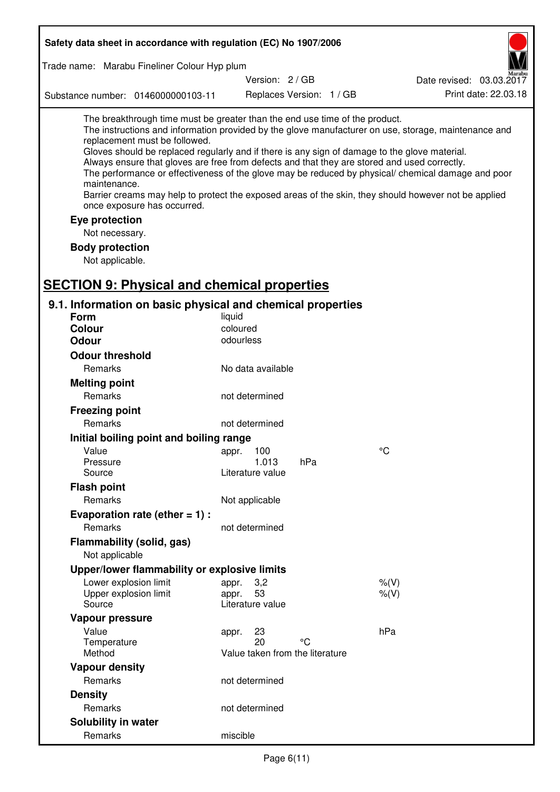| Safety data sheet in accordance with regulation (EC) No 1907/2006                                                                                                                                                                                                                                                                                            |                                 |                          |                                                                                                                                                                                                                                                                                                                    |
|--------------------------------------------------------------------------------------------------------------------------------------------------------------------------------------------------------------------------------------------------------------------------------------------------------------------------------------------------------------|---------------------------------|--------------------------|--------------------------------------------------------------------------------------------------------------------------------------------------------------------------------------------------------------------------------------------------------------------------------------------------------------------|
| Trade name: Marabu Fineliner Colour Hyp plum                                                                                                                                                                                                                                                                                                                 |                                 |                          |                                                                                                                                                                                                                                                                                                                    |
|                                                                                                                                                                                                                                                                                                                                                              | Version: 2 / GB                 |                          | Date revised: 03.03.2017                                                                                                                                                                                                                                                                                           |
| Substance number: 0146000000103-11                                                                                                                                                                                                                                                                                                                           |                                 | Replaces Version: 1 / GB | Print date: 22.03.18                                                                                                                                                                                                                                                                                               |
| The breakthrough time must be greater than the end use time of the product.<br>replacement must be followed.<br>Gloves should be replaced regularly and if there is any sign of damage to the glove material.<br>Always ensure that gloves are free from defects and that they are stored and used correctly.<br>maintenance.<br>once exposure has occurred. |                                 |                          | The instructions and information provided by the glove manufacturer on use, storage, maintenance and<br>The performance or effectiveness of the glove may be reduced by physical/ chemical damage and poor<br>Barrier creams may help to protect the exposed areas of the skin, they should however not be applied |
| Eye protection                                                                                                                                                                                                                                                                                                                                               |                                 |                          |                                                                                                                                                                                                                                                                                                                    |
| Not necessary.                                                                                                                                                                                                                                                                                                                                               |                                 |                          |                                                                                                                                                                                                                                                                                                                    |
| <b>Body protection</b>                                                                                                                                                                                                                                                                                                                                       |                                 |                          |                                                                                                                                                                                                                                                                                                                    |
| Not applicable.                                                                                                                                                                                                                                                                                                                                              |                                 |                          |                                                                                                                                                                                                                                                                                                                    |
| <b>SECTION 9: Physical and chemical properties</b>                                                                                                                                                                                                                                                                                                           |                                 |                          |                                                                                                                                                                                                                                                                                                                    |
| 9.1. Information on basic physical and chemical properties                                                                                                                                                                                                                                                                                                   |                                 |                          |                                                                                                                                                                                                                                                                                                                    |
| <b>Form</b>                                                                                                                                                                                                                                                                                                                                                  | liquid                          |                          |                                                                                                                                                                                                                                                                                                                    |
| <b>Colour</b>                                                                                                                                                                                                                                                                                                                                                | coloured                        |                          |                                                                                                                                                                                                                                                                                                                    |
| <b>Odour</b>                                                                                                                                                                                                                                                                                                                                                 | odourless                       |                          |                                                                                                                                                                                                                                                                                                                    |
| <b>Odour threshold</b>                                                                                                                                                                                                                                                                                                                                       |                                 |                          |                                                                                                                                                                                                                                                                                                                    |
| Remarks                                                                                                                                                                                                                                                                                                                                                      | No data available               |                          |                                                                                                                                                                                                                                                                                                                    |
| <b>Melting point</b>                                                                                                                                                                                                                                                                                                                                         |                                 |                          |                                                                                                                                                                                                                                                                                                                    |
| Remarks                                                                                                                                                                                                                                                                                                                                                      | not determined                  |                          |                                                                                                                                                                                                                                                                                                                    |
| <b>Freezing point</b>                                                                                                                                                                                                                                                                                                                                        |                                 |                          |                                                                                                                                                                                                                                                                                                                    |
| Remarks                                                                                                                                                                                                                                                                                                                                                      | not determined                  |                          |                                                                                                                                                                                                                                                                                                                    |
| Initial boiling point and boiling range                                                                                                                                                                                                                                                                                                                      |                                 |                          |                                                                                                                                                                                                                                                                                                                    |
| Value                                                                                                                                                                                                                                                                                                                                                        | 100<br>appr.                    |                          | $^{\circ}C$                                                                                                                                                                                                                                                                                                        |
| Pressure                                                                                                                                                                                                                                                                                                                                                     | 1.013                           | hPa                      |                                                                                                                                                                                                                                                                                                                    |
| Source                                                                                                                                                                                                                                                                                                                                                       | Literature value                |                          |                                                                                                                                                                                                                                                                                                                    |
| <b>Flash point</b>                                                                                                                                                                                                                                                                                                                                           |                                 |                          |                                                                                                                                                                                                                                                                                                                    |
| Remarks                                                                                                                                                                                                                                                                                                                                                      | Not applicable                  |                          |                                                                                                                                                                                                                                                                                                                    |
| Evaporation rate (ether $= 1$ ) :                                                                                                                                                                                                                                                                                                                            |                                 |                          |                                                                                                                                                                                                                                                                                                                    |
| Remarks                                                                                                                                                                                                                                                                                                                                                      | not determined                  |                          |                                                                                                                                                                                                                                                                                                                    |
| Flammability (solid, gas)                                                                                                                                                                                                                                                                                                                                    |                                 |                          |                                                                                                                                                                                                                                                                                                                    |
| Not applicable                                                                                                                                                                                                                                                                                                                                               |                                 |                          |                                                                                                                                                                                                                                                                                                                    |
| Upper/lower flammability or explosive limits                                                                                                                                                                                                                                                                                                                 |                                 |                          |                                                                                                                                                                                                                                                                                                                    |
| Lower explosion limit                                                                                                                                                                                                                                                                                                                                        | 3,2<br>appr.                    |                          | $%$ $(V)$                                                                                                                                                                                                                                                                                                          |
| Upper explosion limit<br>Source                                                                                                                                                                                                                                                                                                                              | 53<br>appr.<br>Literature value |                          | $%$ (V)                                                                                                                                                                                                                                                                                                            |
| Vapour pressure                                                                                                                                                                                                                                                                                                                                              |                                 |                          |                                                                                                                                                                                                                                                                                                                    |
| Value                                                                                                                                                                                                                                                                                                                                                        | 23<br>appr.                     |                          | hPa                                                                                                                                                                                                                                                                                                                |
| Temperature                                                                                                                                                                                                                                                                                                                                                  | 20                              | °C                       |                                                                                                                                                                                                                                                                                                                    |
| Method                                                                                                                                                                                                                                                                                                                                                       | Value taken from the literature |                          |                                                                                                                                                                                                                                                                                                                    |
| <b>Vapour density</b>                                                                                                                                                                                                                                                                                                                                        |                                 |                          |                                                                                                                                                                                                                                                                                                                    |
| Remarks                                                                                                                                                                                                                                                                                                                                                      | not determined                  |                          |                                                                                                                                                                                                                                                                                                                    |
| <b>Density</b>                                                                                                                                                                                                                                                                                                                                               |                                 |                          |                                                                                                                                                                                                                                                                                                                    |
| Remarks                                                                                                                                                                                                                                                                                                                                                      | not determined                  |                          |                                                                                                                                                                                                                                                                                                                    |
| <b>Solubility in water</b>                                                                                                                                                                                                                                                                                                                                   |                                 |                          |                                                                                                                                                                                                                                                                                                                    |
| Remarks                                                                                                                                                                                                                                                                                                                                                      | miscible                        |                          |                                                                                                                                                                                                                                                                                                                    |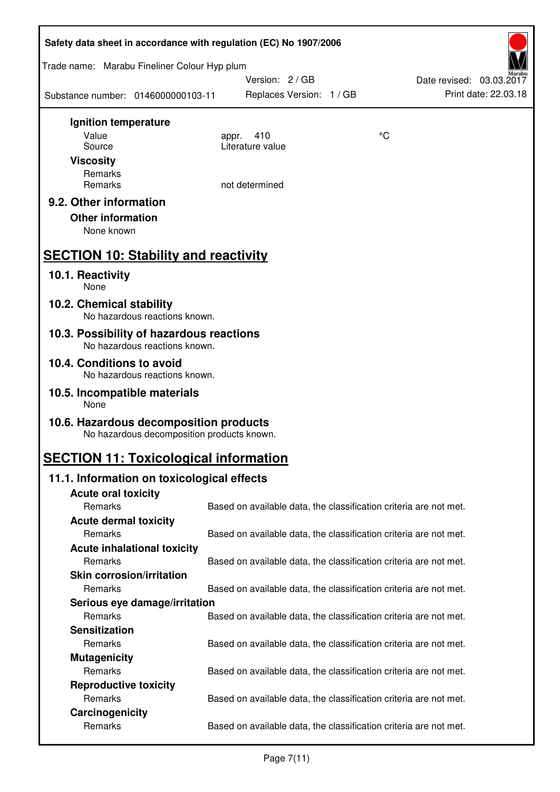| Safety data sheet in accordance with regulation (EC) No 1907/2006                    |                                                                   |    |                                                  |  |
|--------------------------------------------------------------------------------------|-------------------------------------------------------------------|----|--------------------------------------------------|--|
| Trade name: Marabu Fineliner Colour Hyp plum                                         |                                                                   |    |                                                  |  |
| Substance number: 0146000000103-11                                                   | Version: 2 / GB<br>Replaces Version: 1 / GB                       |    | Date revised: 03.03.2017<br>Print date: 22.03.18 |  |
| Ignition temperature                                                                 |                                                                   |    |                                                  |  |
| Value                                                                                | 410<br>appr.                                                      | °C |                                                  |  |
| Source                                                                               | Literature value                                                  |    |                                                  |  |
| <b>Viscosity</b>                                                                     |                                                                   |    |                                                  |  |
| Remarks<br>Remarks                                                                   | not determined                                                    |    |                                                  |  |
| 9.2. Other information                                                               |                                                                   |    |                                                  |  |
| <b>Other information</b>                                                             |                                                                   |    |                                                  |  |
| None known                                                                           |                                                                   |    |                                                  |  |
| <b>SECTION 10: Stability and reactivity</b>                                          |                                                                   |    |                                                  |  |
|                                                                                      |                                                                   |    |                                                  |  |
| 10.1. Reactivity<br>None                                                             |                                                                   |    |                                                  |  |
| 10.2. Chemical stability<br>No hazardous reactions known.                            |                                                                   |    |                                                  |  |
| 10.3. Possibility of hazardous reactions<br>No hazardous reactions known.            |                                                                   |    |                                                  |  |
| 10.4. Conditions to avoid<br>No hazardous reactions known.                           |                                                                   |    |                                                  |  |
| 10.5. Incompatible materials<br>None                                                 |                                                                   |    |                                                  |  |
| 10.6. Hazardous decomposition products<br>No hazardous decomposition products known. |                                                                   |    |                                                  |  |
| <b>SECTION 11: Toxicological information</b>                                         |                                                                   |    |                                                  |  |
| 11.1. Information on toxicological effects                                           |                                                                   |    |                                                  |  |
| <b>Acute oral toxicity</b>                                                           |                                                                   |    |                                                  |  |
| Remarks                                                                              | Based on available data, the classification criteria are not met. |    |                                                  |  |
| <b>Acute dermal toxicity</b>                                                         |                                                                   |    |                                                  |  |
| Remarks                                                                              | Based on available data, the classification criteria are not met. |    |                                                  |  |
| <b>Acute inhalational toxicity</b>                                                   |                                                                   |    |                                                  |  |
| Remarks                                                                              | Based on available data, the classification criteria are not met. |    |                                                  |  |
| <b>Skin corrosion/irritation</b>                                                     |                                                                   |    |                                                  |  |
| Remarks                                                                              | Based on available data, the classification criteria are not met. |    |                                                  |  |
| Serious eye damage/irritation<br>Remarks                                             | Based on available data, the classification criteria are not met. |    |                                                  |  |
| <b>Sensitization</b>                                                                 |                                                                   |    |                                                  |  |
| Remarks                                                                              | Based on available data, the classification criteria are not met. |    |                                                  |  |
| <b>Mutagenicity</b>                                                                  |                                                                   |    |                                                  |  |
| Remarks                                                                              | Based on available data, the classification criteria are not met. |    |                                                  |  |
| <b>Reproductive toxicity</b>                                                         |                                                                   |    |                                                  |  |
| Remarks                                                                              | Based on available data, the classification criteria are not met. |    |                                                  |  |
| Carcinogenicity                                                                      |                                                                   |    |                                                  |  |
| Remarks                                                                              | Based on available data, the classification criteria are not met. |    |                                                  |  |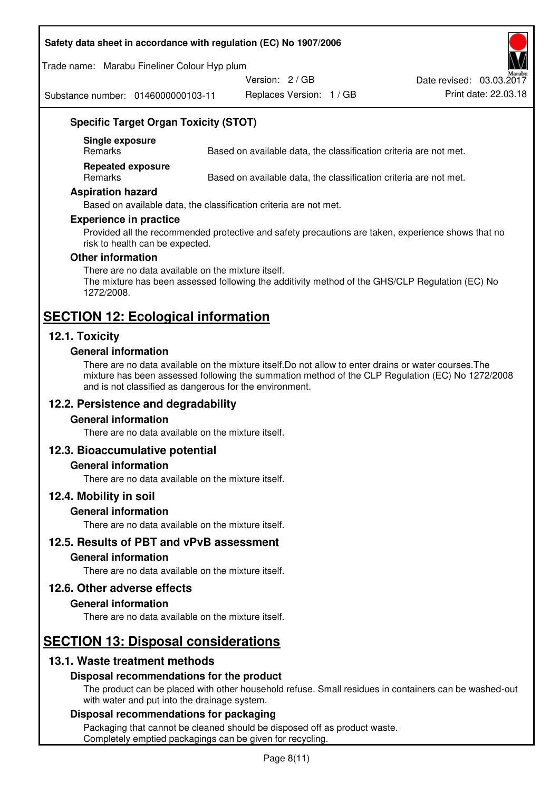#### **Safety data sheet in accordance with regulation (EC) No 1907/2006**

Trade name: Marabu Fineliner Colour Hyp plum

Version: 2 / GB

Date revised: 03.03.2017

Substance number: 0146000000103-11

Replaces Version: 1 / GB Print date: 22.03.18

## **Specific Target Organ Toxicity (STOT)**

**Single exposure** 

Based on available data, the classification criteria are not met.

**Repeated exposure** 

Remarks Based on available data, the classification criteria are not met.

#### **Aspiration hazard**

Based on available data, the classification criteria are not met.

#### **Experience in practice**

Provided all the recommended protective and safety precautions are taken, experience shows that no risk to health can be expected.

#### **Other information**

There are no data available on the mixture itself. The mixture has been assessed following the additivity method of the GHS/CLP Regulation (EC) No 1272/2008.

## **SECTION 12: Ecological information**

## **12.1. Toxicity**

#### **General information**

There are no data available on the mixture itself.Do not allow to enter drains or water courses.The mixture has been assessed following the summation method of the CLP Regulation (EC) No 1272/2008 and is not classified as dangerous for the environment.

## **12.2. Persistence and degradability**

#### **General information**

There are no data available on the mixture itself.

## **12.3. Bioaccumulative potential**

#### **General information**

There are no data available on the mixture itself.

#### **12.4. Mobility in soil**

#### **General information**

There are no data available on the mixture itself.

**12.5. Results of PBT and vPvB assessment** 

#### **General information**

There are no data available on the mixture itself.

#### **12.6. Other adverse effects**

#### **General information**

There are no data available on the mixture itself.

# **SECTION 13: Disposal considerations**

## **13.1. Waste treatment methods**

## **Disposal recommendations for the product**

The product can be placed with other household refuse. Small residues in containers can be washed-out with water and put into the drainage system.

#### **Disposal recommendations for packaging**

Packaging that cannot be cleaned should be disposed off as product waste. Completely emptied packagings can be given for recycling.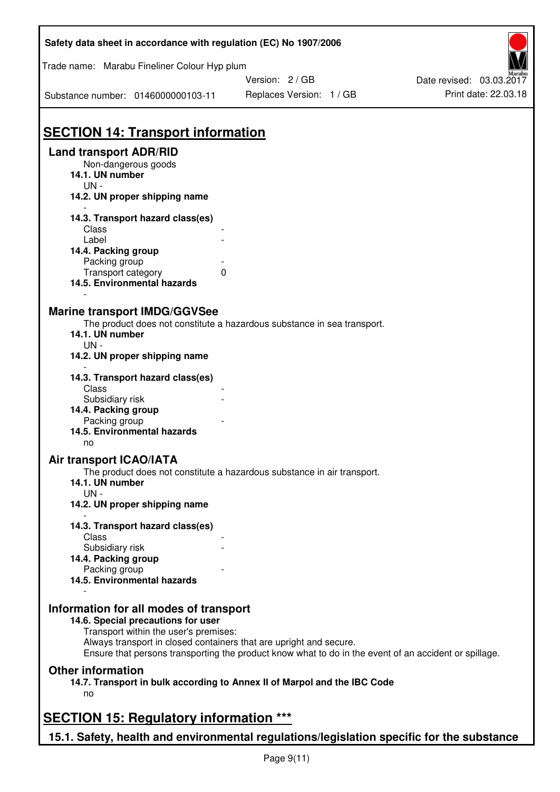| Safety data sheet in accordance with regulation (EC) No 1907/2006                                                                                                                           |                                                                                                       |                          |
|---------------------------------------------------------------------------------------------------------------------------------------------------------------------------------------------|-------------------------------------------------------------------------------------------------------|--------------------------|
| Trade name: Marabu Fineliner Colour Hyp plum                                                                                                                                                | Version: 2 / GB                                                                                       | Date revised: 03.03.2017 |
| Substance number: 0146000000103-11                                                                                                                                                          | Replaces Version: 1 / GB                                                                              | Print date: 22.03.18     |
| <b>SECTION 14: Transport information</b><br><b>Land transport ADR/RID</b><br>Non-dangerous goods                                                                                            |                                                                                                       |                          |
| 14.1. UN number<br>$UN -$<br>14.2. UN proper shipping name                                                                                                                                  |                                                                                                       |                          |
| 14.3. Transport hazard class(es)<br>Class<br>Label                                                                                                                                          |                                                                                                       |                          |
| 14.4. Packing group<br>Packing group<br>Transport category<br>$\mathbf{0}$<br>14.5. Environmental hazards                                                                                   |                                                                                                       |                          |
| <b>Marine transport IMDG/GGVSee</b><br>14.1. UN number<br>$UN -$<br>14.2. UN proper shipping name                                                                                           | The product does not constitute a hazardous substance in sea transport.                               |                          |
| 14.3. Transport hazard class(es)<br>Class<br>Subsidiary risk<br>14.4. Packing group                                                                                                         |                                                                                                       |                          |
| Packing group<br>14.5. Environmental hazards<br>no                                                                                                                                          |                                                                                                       |                          |
| Air transport ICAO/IATA<br>14.1. UN number<br>$UN -$<br>14.2. UN proper shipping name                                                                                                       | The product does not constitute a hazardous substance in air transport.                               |                          |
| 14.3. Transport hazard class(es)<br>Class                                                                                                                                                   |                                                                                                       |                          |
| Subsidiary risk<br>14.4. Packing group<br>Packing group<br>14.5. Environmental hazards                                                                                                      |                                                                                                       |                          |
| Information for all modes of transport<br>14.6. Special precautions for user<br>Transport within the user's premises:<br>Always transport in closed containers that are upright and secure. | Ensure that persons transporting the product know what to do in the event of an accident or spillage. |                          |
| <b>Other information</b><br>no                                                                                                                                                              | 14.7. Transport in bulk according to Annex II of Marpol and the IBC Code                              |                          |
| <b>SECTION 15: Regulatory information ***</b>                                                                                                                                               |                                                                                                       |                          |
| 15.1. Safety, health and environmental regulations/legislation specific for the substance                                                                                                   |                                                                                                       |                          |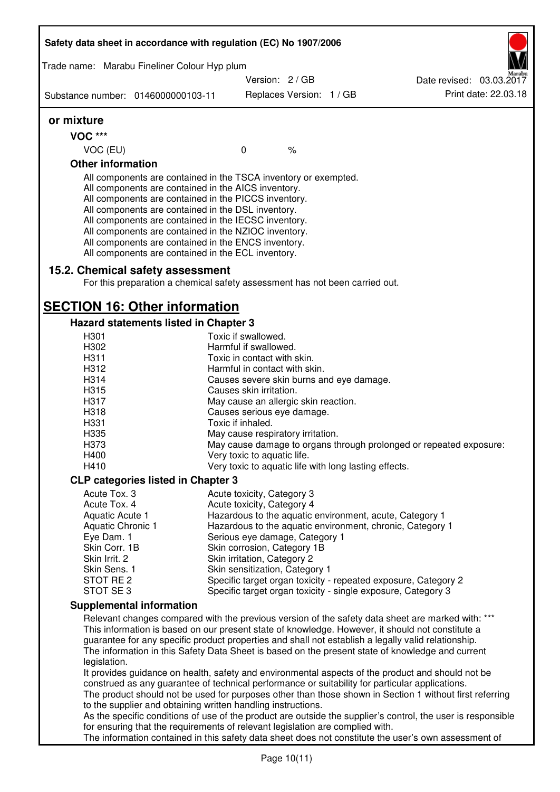| Safety data sheet in accordance with regulation (EC) No 1907/2006                                                                                                                                                                                                                                                                                                                                                                                                 |                                      |                          |                                                       |                                                                                                                                                                                                                                                                                                                                                                                                                  |
|-------------------------------------------------------------------------------------------------------------------------------------------------------------------------------------------------------------------------------------------------------------------------------------------------------------------------------------------------------------------------------------------------------------------------------------------------------------------|--------------------------------------|--------------------------|-------------------------------------------------------|------------------------------------------------------------------------------------------------------------------------------------------------------------------------------------------------------------------------------------------------------------------------------------------------------------------------------------------------------------------------------------------------------------------|
| Trade name: Marabu Fineliner Colour Hyp plum                                                                                                                                                                                                                                                                                                                                                                                                                      |                                      |                          |                                                       |                                                                                                                                                                                                                                                                                                                                                                                                                  |
|                                                                                                                                                                                                                                                                                                                                                                                                                                                                   | Version: 2 / GB                      |                          |                                                       | Date revised: 03.03.2017                                                                                                                                                                                                                                                                                                                                                                                         |
| Substance number: 0146000000103-11                                                                                                                                                                                                                                                                                                                                                                                                                                |                                      | Replaces Version: 1 / GB |                                                       | Print date: 22.03.18                                                                                                                                                                                                                                                                                                                                                                                             |
| or mixture                                                                                                                                                                                                                                                                                                                                                                                                                                                        |                                      |                          |                                                       |                                                                                                                                                                                                                                                                                                                                                                                                                  |
| <b>VOC ***</b>                                                                                                                                                                                                                                                                                                                                                                                                                                                    |                                      |                          |                                                       |                                                                                                                                                                                                                                                                                                                                                                                                                  |
| VOC (EU)                                                                                                                                                                                                                                                                                                                                                                                                                                                          | $\mathbf 0$                          | $\%$                     |                                                       |                                                                                                                                                                                                                                                                                                                                                                                                                  |
| <b>Other information</b>                                                                                                                                                                                                                                                                                                                                                                                                                                          |                                      |                          |                                                       |                                                                                                                                                                                                                                                                                                                                                                                                                  |
| All components are contained in the TSCA inventory or exempted.<br>All components are contained in the AICS inventory.<br>All components are contained in the PICCS inventory.<br>All components are contained in the DSL inventory.<br>All components are contained in the IECSC inventory.<br>All components are contained in the NZIOC inventory.<br>All components are contained in the ENCS inventory.<br>All components are contained in the ECL inventory. |                                      |                          |                                                       |                                                                                                                                                                                                                                                                                                                                                                                                                  |
| 15.2. Chemical safety assessment<br>For this preparation a chemical safety assessment has not been carried out.                                                                                                                                                                                                                                                                                                                                                   |                                      |                          |                                                       |                                                                                                                                                                                                                                                                                                                                                                                                                  |
| <b>SECTION 16: Other information</b>                                                                                                                                                                                                                                                                                                                                                                                                                              |                                      |                          |                                                       |                                                                                                                                                                                                                                                                                                                                                                                                                  |
| <b>Hazard statements listed in Chapter 3</b>                                                                                                                                                                                                                                                                                                                                                                                                                      |                                      |                          |                                                       |                                                                                                                                                                                                                                                                                                                                                                                                                  |
| H301                                                                                                                                                                                                                                                                                                                                                                                                                                                              | Toxic if swallowed.                  |                          |                                                       |                                                                                                                                                                                                                                                                                                                                                                                                                  |
| H302                                                                                                                                                                                                                                                                                                                                                                                                                                                              | Harmful if swallowed.                |                          |                                                       |                                                                                                                                                                                                                                                                                                                                                                                                                  |
| H311                                                                                                                                                                                                                                                                                                                                                                                                                                                              | Toxic in contact with skin.          |                          |                                                       |                                                                                                                                                                                                                                                                                                                                                                                                                  |
| H312                                                                                                                                                                                                                                                                                                                                                                                                                                                              | Harmful in contact with skin.        |                          |                                                       |                                                                                                                                                                                                                                                                                                                                                                                                                  |
| H314                                                                                                                                                                                                                                                                                                                                                                                                                                                              |                                      |                          | Causes severe skin burns and eye damage.              |                                                                                                                                                                                                                                                                                                                                                                                                                  |
| H315                                                                                                                                                                                                                                                                                                                                                                                                                                                              | Causes skin irritation.              |                          |                                                       |                                                                                                                                                                                                                                                                                                                                                                                                                  |
| H317                                                                                                                                                                                                                                                                                                                                                                                                                                                              | May cause an allergic skin reaction. |                          |                                                       |                                                                                                                                                                                                                                                                                                                                                                                                                  |
| H318                                                                                                                                                                                                                                                                                                                                                                                                                                                              | Causes serious eye damage.           |                          |                                                       |                                                                                                                                                                                                                                                                                                                                                                                                                  |
| H331                                                                                                                                                                                                                                                                                                                                                                                                                                                              | Toxic if inhaled.                    |                          |                                                       |                                                                                                                                                                                                                                                                                                                                                                                                                  |
| H335                                                                                                                                                                                                                                                                                                                                                                                                                                                              | May cause respiratory irritation.    |                          |                                                       |                                                                                                                                                                                                                                                                                                                                                                                                                  |
| H373                                                                                                                                                                                                                                                                                                                                                                                                                                                              |                                      |                          |                                                       | May cause damage to organs through prolonged or repeated exposure:                                                                                                                                                                                                                                                                                                                                               |
| H400                                                                                                                                                                                                                                                                                                                                                                                                                                                              | Very toxic to aquatic life.          |                          |                                                       |                                                                                                                                                                                                                                                                                                                                                                                                                  |
| H410                                                                                                                                                                                                                                                                                                                                                                                                                                                              |                                      |                          | Very toxic to aquatic life with long lasting effects. |                                                                                                                                                                                                                                                                                                                                                                                                                  |
| <b>CLP categories listed in Chapter 3</b>                                                                                                                                                                                                                                                                                                                                                                                                                         |                                      |                          |                                                       |                                                                                                                                                                                                                                                                                                                                                                                                                  |
| Acute Tox. 3                                                                                                                                                                                                                                                                                                                                                                                                                                                      | Acute toxicity, Category 3           |                          |                                                       |                                                                                                                                                                                                                                                                                                                                                                                                                  |
| Acute Tox. 4                                                                                                                                                                                                                                                                                                                                                                                                                                                      | Acute toxicity, Category 4           |                          |                                                       |                                                                                                                                                                                                                                                                                                                                                                                                                  |
| Aquatic Acute 1                                                                                                                                                                                                                                                                                                                                                                                                                                                   |                                      |                          |                                                       | Hazardous to the aquatic environment, acute, Category 1                                                                                                                                                                                                                                                                                                                                                          |
| Aquatic Chronic 1                                                                                                                                                                                                                                                                                                                                                                                                                                                 |                                      |                          |                                                       | Hazardous to the aquatic environment, chronic, Category 1                                                                                                                                                                                                                                                                                                                                                        |
| Eye Dam. 1                                                                                                                                                                                                                                                                                                                                                                                                                                                        | Serious eye damage, Category 1       |                          |                                                       |                                                                                                                                                                                                                                                                                                                                                                                                                  |
| Skin Corr. 1B                                                                                                                                                                                                                                                                                                                                                                                                                                                     | Skin corrosion, Category 1B          |                          |                                                       |                                                                                                                                                                                                                                                                                                                                                                                                                  |
| Skin Irrit. 2                                                                                                                                                                                                                                                                                                                                                                                                                                                     | Skin irritation, Category 2          |                          |                                                       |                                                                                                                                                                                                                                                                                                                                                                                                                  |
| Skin Sens. 1                                                                                                                                                                                                                                                                                                                                                                                                                                                      | Skin sensitization, Category 1       |                          |                                                       |                                                                                                                                                                                                                                                                                                                                                                                                                  |
| STOT RE 2<br>STOT SE 3                                                                                                                                                                                                                                                                                                                                                                                                                                            |                                      |                          |                                                       | Specific target organ toxicity - repeated exposure, Category 2<br>Specific target organ toxicity - single exposure, Category 3                                                                                                                                                                                                                                                                                   |
| <b>Supplemental information</b>                                                                                                                                                                                                                                                                                                                                                                                                                                   |                                      |                          |                                                       |                                                                                                                                                                                                                                                                                                                                                                                                                  |
|                                                                                                                                                                                                                                                                                                                                                                                                                                                                   |                                      |                          |                                                       | Relevant changes compared with the previous version of the safety data sheet are marked with: ***                                                                                                                                                                                                                                                                                                                |
| legislation.                                                                                                                                                                                                                                                                                                                                                                                                                                                      |                                      |                          |                                                       | This information is based on our present state of knowledge. However, it should not constitute a<br>guarantee for any specific product properties and shall not establish a legally valid relationship.<br>The information in this Safety Data Sheet is based on the present state of knowledge and current<br>It provides guidance on health, safety and environmental aspects of the product and should not be |
| construed as any guarantee of technical performance or suitability for particular applications.<br>to the supplier and obtaining written handling instructions.                                                                                                                                                                                                                                                                                                   |                                      |                          |                                                       | The product should not be used for purposes other than those shown in Section 1 without first referring                                                                                                                                                                                                                                                                                                          |
|                                                                                                                                                                                                                                                                                                                                                                                                                                                                   |                                      |                          |                                                       | As the specific conditions of use of the product are outside the supplier's control, the user is responsible                                                                                                                                                                                                                                                                                                     |
| for ensuring that the requirements of relevant legislation are complied with.                                                                                                                                                                                                                                                                                                                                                                                     |                                      |                          |                                                       | The information contained in this safety data sheet does not constitute the user's own assessment of                                                                                                                                                                                                                                                                                                             |